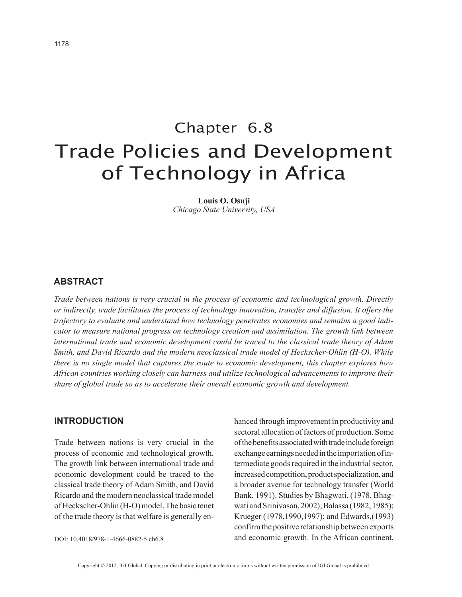# Chapter 6.8 Trade Policies and Development of Technology in Africa

**Louis O. Osuji** *Chicago State University, USA*

## **ABSTRACT**

*Trade between nations is very crucial in the process of economic and technological growth. Directly or indirectly, trade facilitates the process of technology innovation, transfer and diffusion. It offers the trajectory to evaluate and understand how technology penetrates economies and remains a good indicator to measure national progress on technology creation and assimilation. The growth link between international trade and economic development could be traced to the classical trade theory of Adam Smith, and David Ricardo and the modern neoclassical trade model of Heckscher-Ohlin (H-O). While there is no single model that captures the route to economic development, this chapter explores how African countries working closely can harness and utilize technological advancements to improve their share of global trade so as to accelerate their overall economic growth and development.*

### **INTRODUCTION**

Trade between nations is very crucial in the process of economic and technological growth. The growth link between international trade and economic development could be traced to the classical trade theory of Adam Smith, and David Ricardo and the modern neoclassical trade model of Heckscher-Ohlin (H-O) model. The basic tenet of the trade theory is that welfare is generally en-

DOI: 10.4018/978-1-4666-0882-5.ch6.8

hanced through improvement in productivity and sectoral allocation of factors of production. Some of the benefits associated with trade include foreign exchange earnings needed in the importation of intermediate goods required in the industrial sector, increased competition, product specialization, and a broader avenue for technology transfer (World Bank, 1991). Studies by Bhagwati, (1978, Bhagwati and Srinivasan, 2002); Balassa (1982, 1985); Krueger (1978,1990,1997); and Edwards,(1993) confirm the positive relationship between exports and economic growth. In the African continent,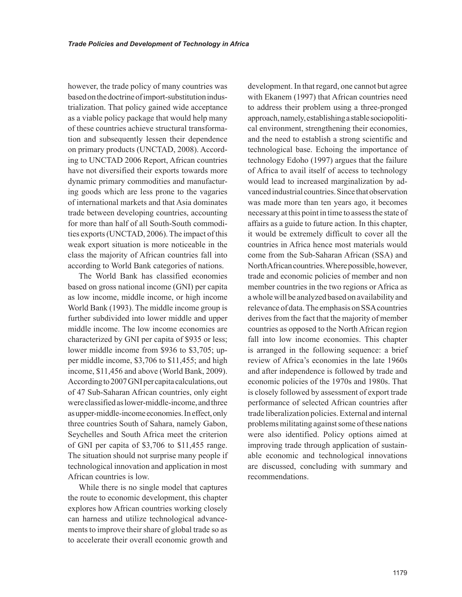however, the trade policy of many countries was based on the doctrine of import-substitution industrialization. That policy gained wide acceptance as a viable policy package that would help many of these countries achieve structural transformation and subsequently lessen their dependence on primary products (UNCTAD, 2008). According to UNCTAD 2006 Report, African countries have not diversified their exports towards more dynamic primary commodities and manufacturing goods which are less prone to the vagaries of international markets and that Asia dominates trade between developing countries, accounting for more than half of all South-South commodities exports (UNCTAD, 2006). The impact of this weak export situation is more noticeable in the class the majority of African countries fall into according to World Bank categories of nations.

The World Bank has classified economies based on gross national income (GNI) per capita as low income, middle income, or high income World Bank (1993). The middle income group is further subdivided into lower middle and upper middle income. The low income economies are characterized by GNI per capita of \$935 or less; lower middle income from \$936 to \$3,705; upper middle income, \$3,706 to \$11,455; and high income, \$11,456 and above (World Bank, 2009). According to 2007 GNI per capita calculations, out of 47 Sub-Saharan African countries, only eight were classified as lower-middle-income, and three as upper-middle-income economies. In effect, only three countries South of Sahara, namely Gabon, Seychelles and South Africa meet the criterion of GNI per capita of \$3,706 to \$11,455 range. The situation should not surprise many people if technological innovation and application in most African countries is low.

While there is no single model that captures the route to economic development, this chapter explores how African countries working closely can harness and utilize technological advancements to improve their share of global trade so as to accelerate their overall economic growth and development. In that regard, one cannot but agree with Ekanem (1997) that African countries need to address their problem using a three-pronged approach, namely, establishing a stable sociopolitical environment, strengthening their economies, and the need to establish a strong scientific and technological base. Echoing the importance of technology Edoho (1997) argues that the failure of Africa to avail itself of access to technology would lead to increased marginalization by advanced industrial countries. Since that observation was made more than ten years ago, it becomes necessary at this point in time to assess the state of affairs as a guide to future action. In this chapter, it would be extremely difficult to cover all the countries in Africa hence most materials would come from the Sub-Saharan African (SSA) and North African countries. Where possible, however, trade and economic policies of member and non member countries in the two regions or Africa as a whole will be analyzed based on availability and relevance of data. The emphasis on SSA countries derives from the fact that the majority of member countries as opposed to the North African region fall into low income economies. This chapter is arranged in the following sequence: a brief review of Africa's economies in the late 1960s and after independence is followed by trade and economic policies of the 1970s and 1980s. That is closely followed by assessment of export trade performance of selected African countries after trade liberalization policies. External and internal problems militating against some of these nations were also identified. Policy options aimed at improving trade through application of sustainable economic and technological innovations are discussed, concluding with summary and recommendations.